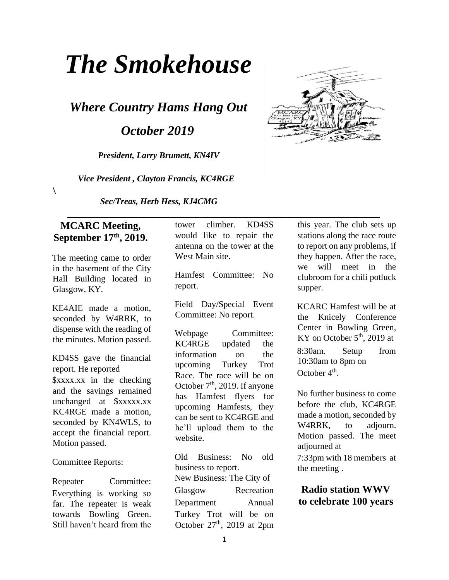# *The Smokehouse*

*Where Country Hams Hang Out* 

 *October 2019* 

*President, Larry Brumett, KN4IV* 

 *Vice President , Clayton Francis, KC4RGE* 

*Sec/Treas, Herb Hess, KJ4CMG* 

#### **MCARC Meeting, September 17th, 2019.**

 $\lambda$ 

The meeting came to order in the basement of the City Hall Building located in Glasgow, KY.

KE4AIE made a motion, seconded by W4RRK, to dispense with the reading of the minutes. Motion passed.

KD4SS gave the financial report. He reported \$xxxx.xx in the checking and the savings remained unchanged at \$xxxxx.xx KC4RGE made a motion, seconded by KN4WLS, to accept the financial report. Motion passed.

Committee Reports:

Repeater Committee: Everything is working so far. The repeater is weak towards Bowling Green. Still haven't heard from the tower climber. KD4SS would like to repair the antenna on the tower at the West Main site.

 **\_\_\_\_\_\_\_\_\_\_\_\_\_\_\_\_\_\_\_\_\_\_\_\_\_\_\_\_\_\_\_\_\_\_\_\_\_\_\_\_\_\_\_\_\_\_\_\_\_\_\_\_\_\_\_\_\_\_\_\_\_\_\_\_\_\_\_\_\_\_\_** 

Hamfest Committee: No report.

Field Day/Special Event Committee: No report.

Webpage Committee: KC4RGE updated the information on the upcoming Turkey Trot Race. The race will be on October 7<sup>th</sup>, 2019. If anyone has Hamfest flyers for upcoming Hamfests, they can be sent to KC4RGE and he'll upload them to the website.

Old Business: No old business to report. New Business: The City of Glasgow Recreation Department Annual Turkey Trot will be on October  $27<sup>th</sup>$ , 2019 at 2pm this year. The club sets up stations along the race route to report on any problems, if they happen. After the race, we will meet in the clubroom for a chili potluck supper.

KCARC Hamfest will be at the Knicely Conference Center in Bowling Green, KY on October  $5<sup>th</sup>$ , 2019 at

8:30am. Setup from 10:30am to 8pm on October  $4<sup>th</sup>$ .

No further business to come before the club, KC4RGE made a motion, seconded by W<sub>4</sub>RRK, to adjourn. Motion passed. The meet adjourned at

7:33pm with 18 members at the meeting .

**Radio station WWV to celebrate 100 years** 

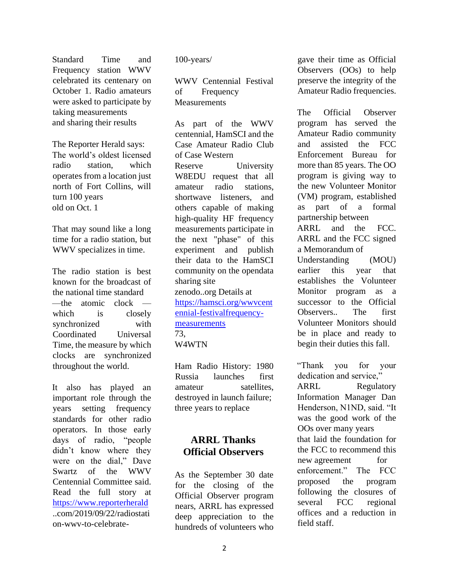Standard Time and Frequency station WWV celebrated its centenary on October 1. Radio amateurs were asked to participate by taking measurements and sharing their results

The Reporter Herald says: The world's oldest licensed radio station, which operates from a location just north of Fort Collins, will turn 100 years old on Oct. 1

That may sound like a long time for a radio station, but WWV specializes in time.

The radio station is best known for the broadcast of the national time standard —the atomic clock which is closely synchronized with Coordinated Universal Time, the measure by which clocks are synchronized throughout the world.

It also has played an important role through the years setting frequency standards for other radio operators. In those early days of radio, "people didn't know where they were on the dial," Dave Swartz of the WWV Centennial Committee said. Read the full story at https://www.reporterherald ..com/2019/09/22/radiostati on-wwv-to-celebrate100-years/

WWV Centennial Festival of Frequency **Measurements** 

As part of the WWV centennial, HamSCI and the Case Amateur Radio Club of Case Western Reserve University W8EDU request that all amateur radio stations, shortwave listeners, and others capable of making high-quality HF frequency measurements participate in the next "phase" of this experiment and publish their data to the HamSCI community on the opendata sharing site zenodo..org Details at https://hamsci.org/wwvcent ennial-festivalfrequencymeasurements 73, W4WTN

Ham Radio History: 1980 Russia launches first amateur satellites. destroyed in launch failure; three years to replace

## **ARRL Thanks Official Observers**

As the September 30 date for the closing of the Official Observer program nears, ARRL has expressed deep appreciation to the hundreds of volunteers who gave their time as Official Observers (OOs) to help preserve the integrity of the Amateur Radio frequencies.

The Official Observer program has served the Amateur Radio community and assisted the FCC Enforcement Bureau for more than 85 years. The OO program is giving way to the new Volunteer Monitor (VM) program, established as part of a formal partnership between ARRL and the FCC. ARRL and the FCC signed a Memorandum of Understanding (MOU) earlier this year that establishes the Volunteer Monitor program as a successor to the Official Observers.. The first Volunteer Monitors should be in place and ready to begin their duties this fall.

"Thank you for your dedication and service."

ARRL Regulatory Information Manager Dan Henderson, N1ND, said. "It was the good work of the OOs over many years that laid the foundation for the FCC to recommend this new agreement for enforcement." The FCC proposed the program following the closures of several FCC regional offices and a reduction in field staff.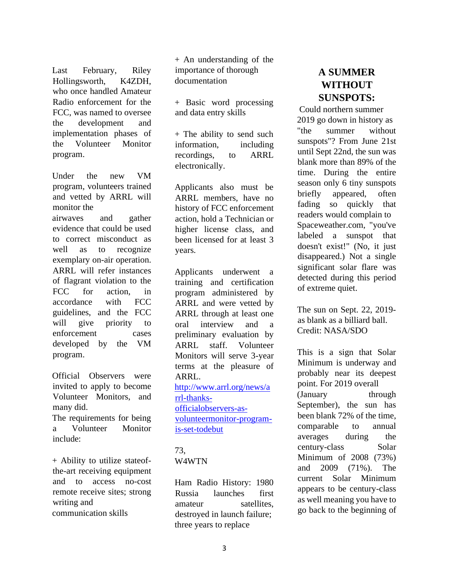Last February, Riley Hollingsworth, K4ZDH, who once handled Amateur Radio enforcement for the FCC, was named to oversee the development and implementation phases of the Volunteer Monitor program.

Under the new VM program, volunteers trained and vetted by ARRL will monitor the airwaves and gather evidence that could be used to correct misconduct as well as to recognize exemplary on-air operation. ARRL will refer instances of flagrant violation to the FCC for action, in accordance with FCC guidelines, and the FCC will give priority to enforcement cases developed by the VM program.

Official Observers were invited to apply to become Volunteer Monitors, and many did.

The requirements for being a Volunteer Monitor include:

+ Ability to utilize stateofthe-art receiving equipment and to access no-cost remote receive sites; strong writing and communication skills

+ An understanding of the importance of thorough documentation

+ Basic word processing and data entry skills

+ The ability to send such information, including recordings, to ARRL electronically.

Applicants also must be ARRL members, have no history of FCC enforcement action, hold a Technician or higher license class, and been licensed for at least 3 years.

Applicants underwent a training and certification program administered by ARRL and were vetted by ARRL through at least one oral interview and a preliminary evaluation by ARRL staff. Volunteer Monitors will serve 3-year terms at the pleasure of ARRL. http://www.arrl.org/news/a rrl-thanksofficialobservers-asvolunteermonitor-programis-set-todebut

#### 73,

#### W4WTN

Ham Radio History: 1980 Russia launches first amateur satellites. destroyed in launch failure; three years to replace

# **A SUMMER WITHOUT SUNSPOTS:**

Could northern summer 2019 go down in history as "the summer without sunspots"? From June 21st until Sept 22nd, the sun was blank more than 89% of the time. During the entire season only 6 tiny sunspots briefly appeared, often fading so quickly that readers would complain to Spaceweather.com, "you've labeled a sunspot that doesn't exist!" (No, it just disappeared.) Not a single significant solar flare was detected during this period of extreme quiet.

The sun on Sept. 22, 2019 as blank as a billiard ball. Credit: NASA/SDO

This is a sign that Solar Minimum is underway and probably near its deepest point. For 2019 overall (January through September), the sun has been blank 72% of the time, comparable to annual averages during the century-class Solar Minimum of 2008 (73%) and 2009 (71%). The current Solar Minimum appears to be century-class as well meaning you have to go back to the beginning of